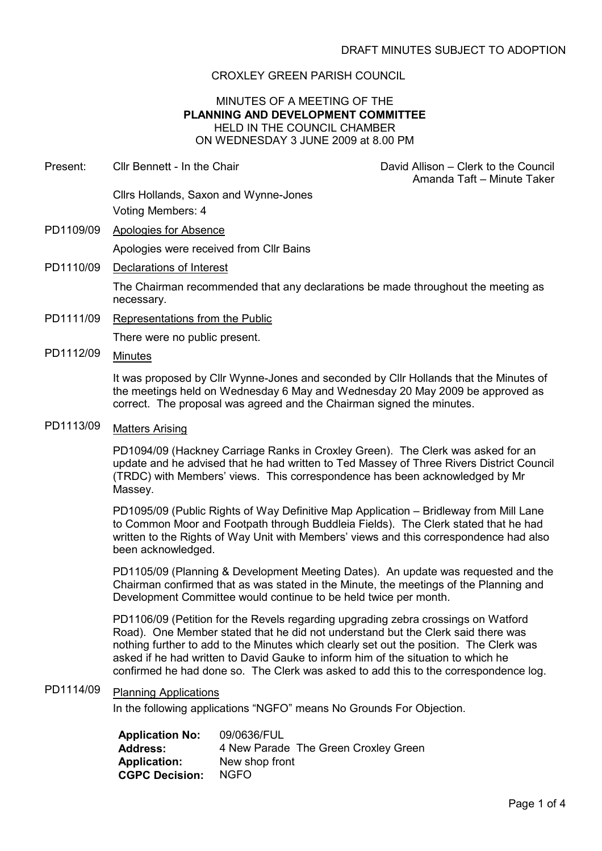### CROXLEY GREEN PARISH COUNCIL

#### MINUTES OF A MEETING OF THE PLANNING AND DEVELOPMENT COMMITTEE HELD IN THE COUNCIL CHAMBER ON WEDNESDAY 3 JUNE 2009 at 8.00 PM

| Cllr Bennett - In the Chair                                                                                                                                                                                                                     | David Allison – Clerk to the Council<br>Amanda Taft - Minute Taker |
|-------------------------------------------------------------------------------------------------------------------------------------------------------------------------------------------------------------------------------------------------|--------------------------------------------------------------------|
| Cilrs Hollands, Saxon and Wynne-Jones                                                                                                                                                                                                           |                                                                    |
| Voting Members: 4                                                                                                                                                                                                                               |                                                                    |
| Apologies for Absence                                                                                                                                                                                                                           |                                                                    |
| Apologies were received from CIIr Bains                                                                                                                                                                                                         |                                                                    |
| Declarations of Interest                                                                                                                                                                                                                        |                                                                    |
| The Chairman recommended that any declarations be made throughout the meeting as<br>necessary.                                                                                                                                                  |                                                                    |
| Representations from the Public                                                                                                                                                                                                                 |                                                                    |
| There were no public present.                                                                                                                                                                                                                   |                                                                    |
| <b>Minutes</b>                                                                                                                                                                                                                                  |                                                                    |
| It was proposed by Cllr Wynne-Jones and seconded by Cllr Hollands that the Minutes of<br>the meetings held on Wednesday 6 May and Wednesday 20 May 2009 be approved as<br>correct. The proposal was agreed and the Chairman signed the minutes. |                                                                    |
|                                                                                                                                                                                                                                                 |                                                                    |

# PD1113/09 Matters Arising

PD1094/09 (Hackney Carriage Ranks in Croxley Green). The Clerk was asked for an update and he advised that he had written to Ted Massey of Three Rivers District Council (TRDC) with Members' views. This correspondence has been acknowledged by Mr Massey.

PD1095/09 (Public Rights of Way Definitive Map Application – Bridleway from Mill Lane to Common Moor and Footpath through Buddleia Fields). The Clerk stated that he had written to the Rights of Way Unit with Members' views and this correspondence had also been acknowledged.

PD1105/09 (Planning & Development Meeting Dates). An update was requested and the Chairman confirmed that as was stated in the Minute, the meetings of the Planning and Development Committee would continue to be held twice per month.

PD1106/09 (Petition for the Revels regarding upgrading zebra crossings on Watford Road). One Member stated that he did not understand but the Clerk said there was nothing further to add to the Minutes which clearly set out the position. The Clerk was asked if he had written to David Gauke to inform him of the situation to which he confirmed he had done so. The Clerk was asked to add this to the correspondence log.

## PD1114/09 Planning Applications

In the following applications "NGFO" means No Grounds For Objection.

| <b>Application No:</b> | 09/0636/FUL                          |
|------------------------|--------------------------------------|
| <b>Address:</b>        | 4 New Parade The Green Croxley Green |
| <b>Application:</b>    | New shop front                       |
| <b>CGPC Decision:</b>  | NGFO.                                |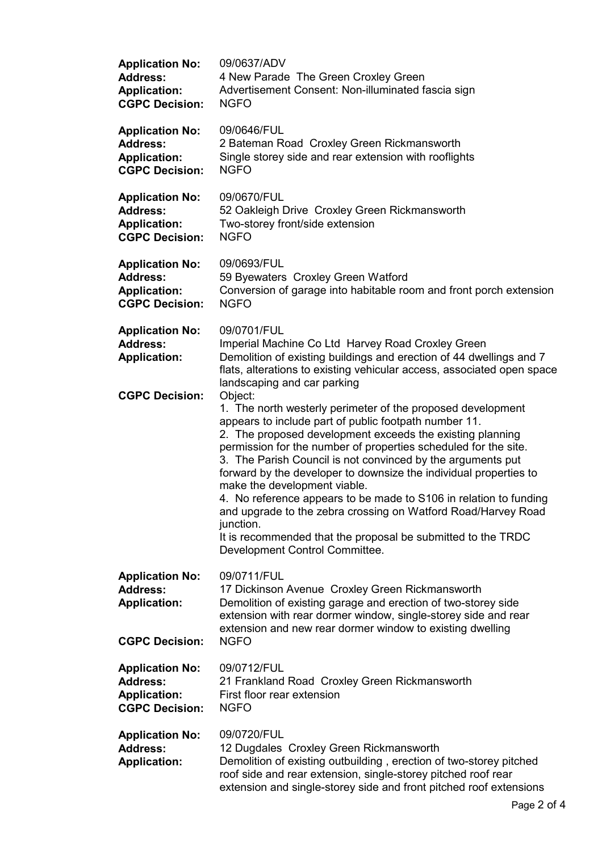| <b>Application No:</b>                                                                    | 09/0637/ADV                                                                                                                                                                                                                                                                                                                                                                                                                                                                                                                                                                                                                                                                              |
|-------------------------------------------------------------------------------------------|------------------------------------------------------------------------------------------------------------------------------------------------------------------------------------------------------------------------------------------------------------------------------------------------------------------------------------------------------------------------------------------------------------------------------------------------------------------------------------------------------------------------------------------------------------------------------------------------------------------------------------------------------------------------------------------|
| <b>Address:</b>                                                                           | 4 New Parade The Green Croxley Green                                                                                                                                                                                                                                                                                                                                                                                                                                                                                                                                                                                                                                                     |
| <b>Application:</b>                                                                       | Advertisement Consent: Non-illuminated fascia sign                                                                                                                                                                                                                                                                                                                                                                                                                                                                                                                                                                                                                                       |
| <b>CGPC Decision:</b>                                                                     | <b>NGFO</b>                                                                                                                                                                                                                                                                                                                                                                                                                                                                                                                                                                                                                                                                              |
| <b>Application No:</b>                                                                    | 09/0646/FUL                                                                                                                                                                                                                                                                                                                                                                                                                                                                                                                                                                                                                                                                              |
| <b>Address:</b>                                                                           | 2 Bateman Road Croxley Green Rickmansworth                                                                                                                                                                                                                                                                                                                                                                                                                                                                                                                                                                                                                                               |
| <b>Application:</b>                                                                       | Single storey side and rear extension with rooflights                                                                                                                                                                                                                                                                                                                                                                                                                                                                                                                                                                                                                                    |
| <b>CGPC Decision:</b>                                                                     | <b>NGFO</b>                                                                                                                                                                                                                                                                                                                                                                                                                                                                                                                                                                                                                                                                              |
| <b>Application No:</b>                                                                    | 09/0670/FUL                                                                                                                                                                                                                                                                                                                                                                                                                                                                                                                                                                                                                                                                              |
| <b>Address:</b>                                                                           | 52 Oakleigh Drive Croxley Green Rickmansworth                                                                                                                                                                                                                                                                                                                                                                                                                                                                                                                                                                                                                                            |
| <b>Application:</b>                                                                       | Two-storey front/side extension                                                                                                                                                                                                                                                                                                                                                                                                                                                                                                                                                                                                                                                          |
| <b>CGPC Decision:</b>                                                                     | <b>NGFO</b>                                                                                                                                                                                                                                                                                                                                                                                                                                                                                                                                                                                                                                                                              |
| <b>Application No:</b>                                                                    | 09/0693/FUL                                                                                                                                                                                                                                                                                                                                                                                                                                                                                                                                                                                                                                                                              |
| <b>Address:</b>                                                                           | 59 Byewaters Croxley Green Watford                                                                                                                                                                                                                                                                                                                                                                                                                                                                                                                                                                                                                                                       |
| <b>Application:</b>                                                                       | Conversion of garage into habitable room and front porch extension                                                                                                                                                                                                                                                                                                                                                                                                                                                                                                                                                                                                                       |
| <b>CGPC Decision:</b>                                                                     | <b>NGFO</b>                                                                                                                                                                                                                                                                                                                                                                                                                                                                                                                                                                                                                                                                              |
| <b>Application No:</b><br><b>Address:</b><br><b>Application:</b><br><b>CGPC Decision:</b> | 09/0701/FUL<br>Imperial Machine Co Ltd Harvey Road Croxley Green<br>Demolition of existing buildings and erection of 44 dwellings and 7<br>flats, alterations to existing vehicular access, associated open space<br>landscaping and car parking                                                                                                                                                                                                                                                                                                                                                                                                                                         |
|                                                                                           | Object:<br>1. The north westerly perimeter of the proposed development<br>appears to include part of public footpath number 11.<br>2. The proposed development exceeds the existing planning<br>permission for the number of properties scheduled for the site.<br>3. The Parish Council is not convinced by the arguments put<br>forward by the developer to downsize the individual properties to<br>make the development viable.<br>4. No reference appears to be made to S106 in relation to funding<br>and upgrade to the zebra crossing on Watford Road/Harvey Road<br>junction.<br>It is recommended that the proposal be submitted to the TRDC<br>Development Control Committee. |
| <b>Application No:</b><br><b>Address:</b><br><b>Application:</b><br><b>CGPC Decision:</b> | 09/0711/FUL<br>17 Dickinson Avenue Croxley Green Rickmansworth<br>Demolition of existing garage and erection of two-storey side<br>extension with rear dormer window, single-storey side and rear<br>extension and new rear dormer window to existing dwelling<br><b>NGFO</b>                                                                                                                                                                                                                                                                                                                                                                                                            |
| <b>Application No:</b>                                                                    | 09/0712/FUL                                                                                                                                                                                                                                                                                                                                                                                                                                                                                                                                                                                                                                                                              |
| <b>Address:</b>                                                                           | 21 Frankland Road Croxley Green Rickmansworth                                                                                                                                                                                                                                                                                                                                                                                                                                                                                                                                                                                                                                            |
| <b>Application:</b>                                                                       | First floor rear extension                                                                                                                                                                                                                                                                                                                                                                                                                                                                                                                                                                                                                                                               |
| <b>CGPC Decision:</b>                                                                     | <b>NGFO</b>                                                                                                                                                                                                                                                                                                                                                                                                                                                                                                                                                                                                                                                                              |
| <b>Application No:</b><br><b>Address:</b><br><b>Application:</b>                          | 09/0720/FUL<br>12 Dugdales Croxley Green Rickmansworth<br>Demolition of existing outbuilding, erection of two-storey pitched<br>roof side and rear extension, single-storey pitched roof rear<br>extension and single-storey side and front pitched roof extensions                                                                                                                                                                                                                                                                                                                                                                                                                      |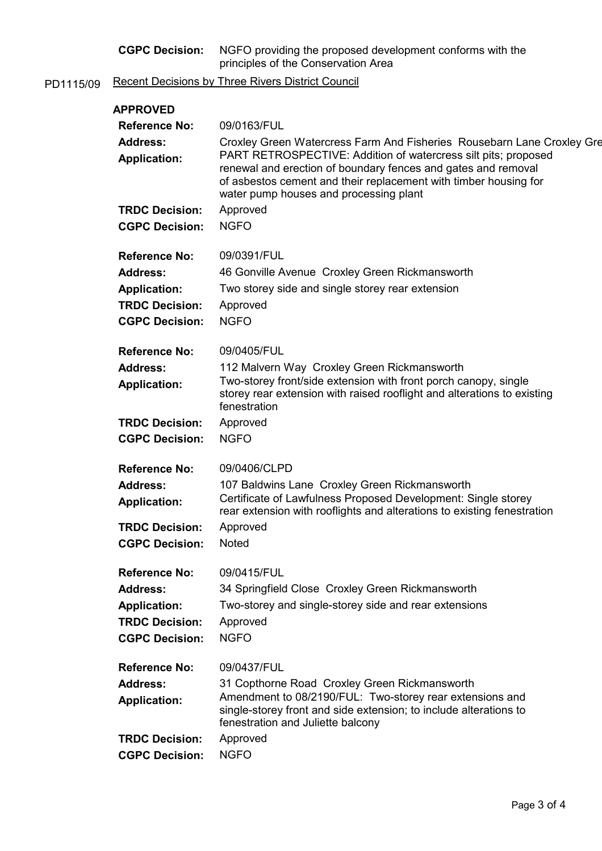| <b>CGPC Decision:</b> | NGFO providing the proposed development conforms with the |
|-----------------------|-----------------------------------------------------------|
|                       | principles of the Conservation Area                       |

PD1115/09 Recent Decisions by Three Rivers District Council

| <b>APPROVED</b>                        |                                                                                                                                                                                                                                                                                                                         |
|----------------------------------------|-------------------------------------------------------------------------------------------------------------------------------------------------------------------------------------------------------------------------------------------------------------------------------------------------------------------------|
| <b>Reference No:</b>                   | 09/0163/FUL                                                                                                                                                                                                                                                                                                             |
| <b>Address:</b><br><b>Application:</b> | Croxley Green Watercress Farm And Fisheries Rousebarn Lane Croxley Gre<br>PART RETROSPECTIVE: Addition of watercress silt pits; proposed<br>renewal and erection of boundary fences and gates and removal<br>of asbestos cement and their replacement with timber housing for<br>water pump houses and processing plant |
| <b>TRDC Decision:</b>                  | Approved                                                                                                                                                                                                                                                                                                                |
| <b>CGPC Decision:</b>                  | <b>NGFO</b>                                                                                                                                                                                                                                                                                                             |
| <b>Reference No:</b>                   | 09/0391/FUL                                                                                                                                                                                                                                                                                                             |
| <b>Address:</b>                        | 46 Gonville Avenue Croxley Green Rickmansworth                                                                                                                                                                                                                                                                          |
| <b>Application:</b>                    | Two storey side and single storey rear extension                                                                                                                                                                                                                                                                        |
| <b>TRDC Decision:</b>                  | Approved                                                                                                                                                                                                                                                                                                                |
| <b>CGPC Decision:</b>                  | <b>NGFO</b>                                                                                                                                                                                                                                                                                                             |
| <b>Reference No:</b>                   | 09/0405/FUL                                                                                                                                                                                                                                                                                                             |
| <b>Address:</b>                        | 112 Malvern Way Croxley Green Rickmansworth                                                                                                                                                                                                                                                                             |
| <b>Application:</b>                    | Two-storey front/side extension with front porch canopy, single<br>storey rear extension with raised rooflight and alterations to existing<br>fenestration                                                                                                                                                              |
| <b>TRDC Decision:</b>                  | Approved                                                                                                                                                                                                                                                                                                                |
| <b>CGPC Decision:</b>                  | <b>NGFO</b>                                                                                                                                                                                                                                                                                                             |
| <b>Reference No:</b>                   | 09/0406/CLPD                                                                                                                                                                                                                                                                                                            |
| <b>Address:</b>                        | 107 Baldwins Lane Croxley Green Rickmansworth                                                                                                                                                                                                                                                                           |
| <b>Application:</b>                    | Certificate of Lawfulness Proposed Development: Single storey<br>rear extension with rooflights and alterations to existing fenestration                                                                                                                                                                                |
| <b>TRDC Decision:</b>                  | Approved                                                                                                                                                                                                                                                                                                                |
| <b>CGPC Decision:</b>                  | <b>Noted</b>                                                                                                                                                                                                                                                                                                            |
| <b>Reference No:</b>                   | 09/0415/FUL                                                                                                                                                                                                                                                                                                             |
| <b>Address:</b>                        | 34 Springfield Close Croxley Green Rickmansworth                                                                                                                                                                                                                                                                        |
| <b>Application:</b>                    | Two-storey and single-storey side and rear extensions                                                                                                                                                                                                                                                                   |
| <b>TRDC Decision:</b>                  | Approved                                                                                                                                                                                                                                                                                                                |
| <b>CGPC Decision:</b>                  | <b>NGFO</b>                                                                                                                                                                                                                                                                                                             |
| <b>Reference No:</b>                   | 09/0437/FUL                                                                                                                                                                                                                                                                                                             |
| <b>Address:</b>                        | 31 Copthorne Road Croxley Green Rickmansworth                                                                                                                                                                                                                                                                           |
| <b>Application:</b>                    | Amendment to 08/2190/FUL: Two-storey rear extensions and<br>single-storey front and side extension; to include alterations to<br>fenestration and Juliette balcony                                                                                                                                                      |
| <b>TRDC Decision:</b>                  | Approved                                                                                                                                                                                                                                                                                                                |
| <b>CGPC Decision:</b>                  | <b>NGFO</b>                                                                                                                                                                                                                                                                                                             |